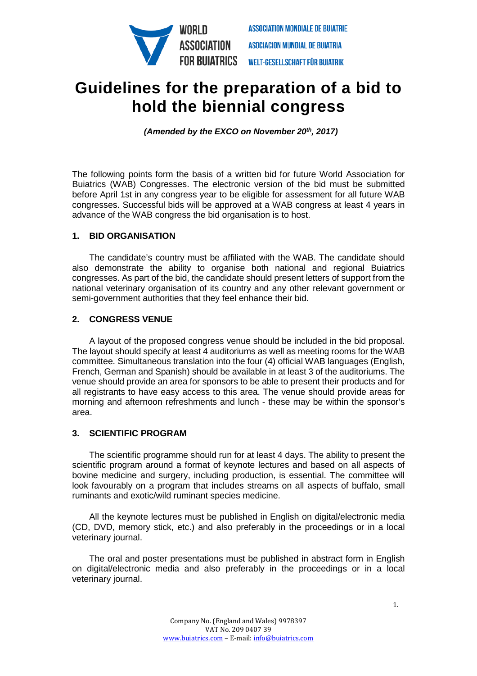

# **Guidelines for the preparation of a bid to hold the biennial congress**

*(Amended by the EXCO on November 20th, 2017)*

The following points form the basis of a written bid for future World Association for Buiatrics (WAB) Congresses. The electronic version of the bid must be submitted before April 1st in any congress year to be eligible for assessment for all future WAB congresses. Successful bids will be approved at a WAB congress at least 4 years in advance of the WAB congress the bid organisation is to host.

# **1. BID ORGANISATION**

The candidate's country must be affiliated with the WAB. The candidate should also demonstrate the ability to organise both national and regional Buiatrics congresses. As part of the bid, the candidate should present letters of support from the national veterinary organisation of its country and any other relevant government or semi-government authorities that they feel enhance their bid.

# **2. CONGRESS VENUE**

A layout of the proposed congress venue should be included in the bid proposal. The layout should specify at least 4 auditoriums as well as meeting rooms for the WAB committee. Simultaneous translation into the four (4) official WAB languages (English, French, German and Spanish) should be available in at least 3 of the auditoriums. The venue should provide an area for sponsors to be able to present their products and for all registrants to have easy access to this area. The venue should provide areas for morning and afternoon refreshments and lunch - these may be within the sponsor's area.

#### **3. SCIENTIFIC PROGRAM**

The scientific programme should run for at least 4 days. The ability to present the scientific program around a format of keynote lectures and based on all aspects of bovine medicine and surgery, including production, is essential. The committee will look favourably on a program that includes streams on all aspects of buffalo, small ruminants and exotic/wild ruminant species medicine.

All the keynote lectures must be published in English on digital/electronic media (CD, DVD, memory stick, etc.) and also preferably in the proceedings or in a local veterinary journal.

The oral and poster presentations must be published in abstract form in English on digital/electronic media and also preferably in the proceedings or in a local veterinary journal.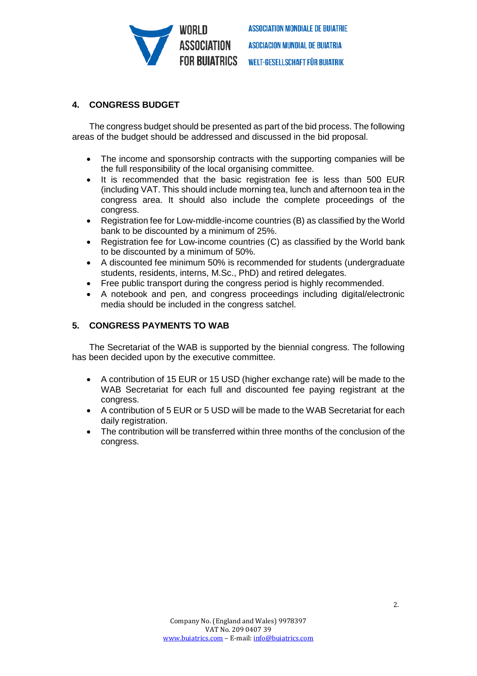

# **4. CONGRESS BUDGET**

The congress budget should be presented as part of the bid process. The following areas of the budget should be addressed and discussed in the bid proposal.

- The income and sponsorship contracts with the supporting companies will be the full responsibility of the local organising committee.
- It is recommended that the basic registration fee is less than 500 EUR (including VAT. This should include morning tea, lunch and afternoon tea in the congress area. It should also include the complete proceedings of the congress.
- Registration fee for Low-middle-income countries (B) as classified by the World bank to be discounted by a minimum of 25%.
- Registration fee for Low-income countries (C) as classified by the World bank to be discounted by a minimum of 50%.
- A discounted fee minimum 50% is recommended for students (undergraduate students, residents, interns, M.Sc., PhD) and retired delegates.
- Free public transport during the congress period is highly recommended.
- A notebook and pen, and congress proceedings including digital/electronic media should be included in the congress satchel.

#### **5. CONGRESS PAYMENTS TO WAB**

The Secretariat of the WAB is supported by the biennial congress. The following has been decided upon by the executive committee.

- A contribution of 15 EUR or 15 USD (higher exchange rate) will be made to the WAB Secretariat for each full and discounted fee paying registrant at the congress.
- A contribution of 5 EUR or 5 USD will be made to the WAB Secretariat for each daily registration.
- The contribution will be transferred within three months of the conclusion of the congress.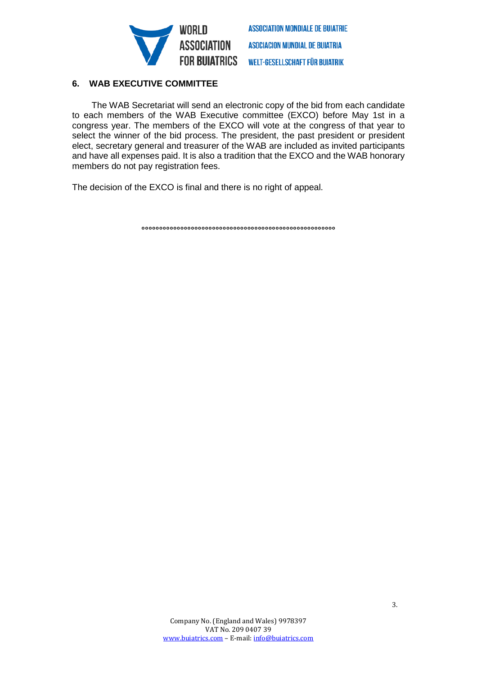

# **6. WAB EXECUTIVE COMMITTEE**

The WAB Secretariat will send an electronic copy of the bid from each candidate to each members of the WAB Executive committee (EXCO) before May 1st in a congress year. The members of the EXCO will vote at the congress of that year to select the winner of the bid process. The president, the past president or president elect, secretary general and treasurer of the WAB are included as invited participants and have all expenses paid. It is also a tradition that the EXCO and the WAB honorary members do not pay registration fees.

The decision of the EXCO is final and there is no right of appeal.

**°°°°°°°°°°°°°°°°°°°°°°°°°°°°°°°°°°°°°°°°°°°°°°°°°°°°°°°**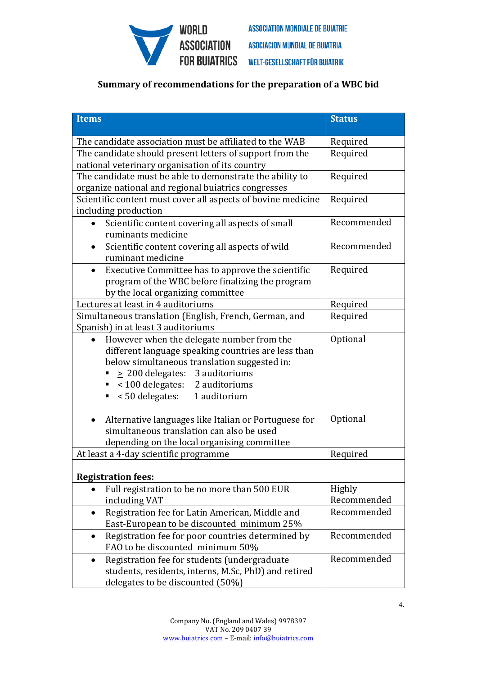

# **Summary of recommendations for the preparation of a WBC bid**

| <b>Items</b>                                                           | <b>Status</b> |
|------------------------------------------------------------------------|---------------|
| The candidate association must be affiliated to the WAB                | Required      |
| The candidate should present letters of support from the               | Required      |
| national veterinary organisation of its country                        |               |
| The candidate must be able to demonstrate the ability to               | Required      |
| organize national and regional buiatrics congresses                    |               |
| Scientific content must cover all aspects of bovine medicine           | Required      |
| including production                                                   |               |
| Scientific content covering all aspects of small<br>ruminants medicine | Recommended   |
| Scientific content covering all aspects of wild                        | Recommended   |
| ruminant medicine                                                      |               |
| Executive Committee has to approve the scientific                      | Required      |
| program of the WBC before finalizing the program                       |               |
| by the local organizing committee                                      |               |
| Lectures at least in 4 auditoriums                                     | Required      |
| Simultaneous translation (English, French, German, and                 | Required      |
| Spanish) in at least 3 auditoriums                                     |               |
| However when the delegate number from the                              | Optional      |
| different language speaking countries are less than                    |               |
| below simultaneous translation suggested in:                           |               |
| $\geq$ 200 delegates: 3 auditoriums                                    |               |
| ■ <100 delegates: 2 auditoriums<br><50 delegates: 1 auditorium<br>ш    |               |
|                                                                        |               |
| Alternative languages like Italian or Portuguese for                   | Optional      |
| simultaneous translation can also be used                              |               |
| depending on the local organising committee                            |               |
| At least a 4-day scientific programme                                  | Required      |
| <b>Registration fees:</b>                                              |               |
| Full registration to be no more than 500 EUR                           | <b>Highly</b> |
| including VAT                                                          | Recommended   |
| Registration fee for Latin American, Middle and<br>$\bullet$           | Recommended   |
| East-European to be discounted minimum 25%                             |               |
| Registration fee for poor countries determined by                      | Recommended   |
| FAO to be discounted minimum 50%                                       |               |
| Registration fee for students (undergraduate                           | Recommended   |
| students, residents, interns, M.Sc, PhD) and retired                   |               |
| delegates to be discounted (50%)                                       |               |